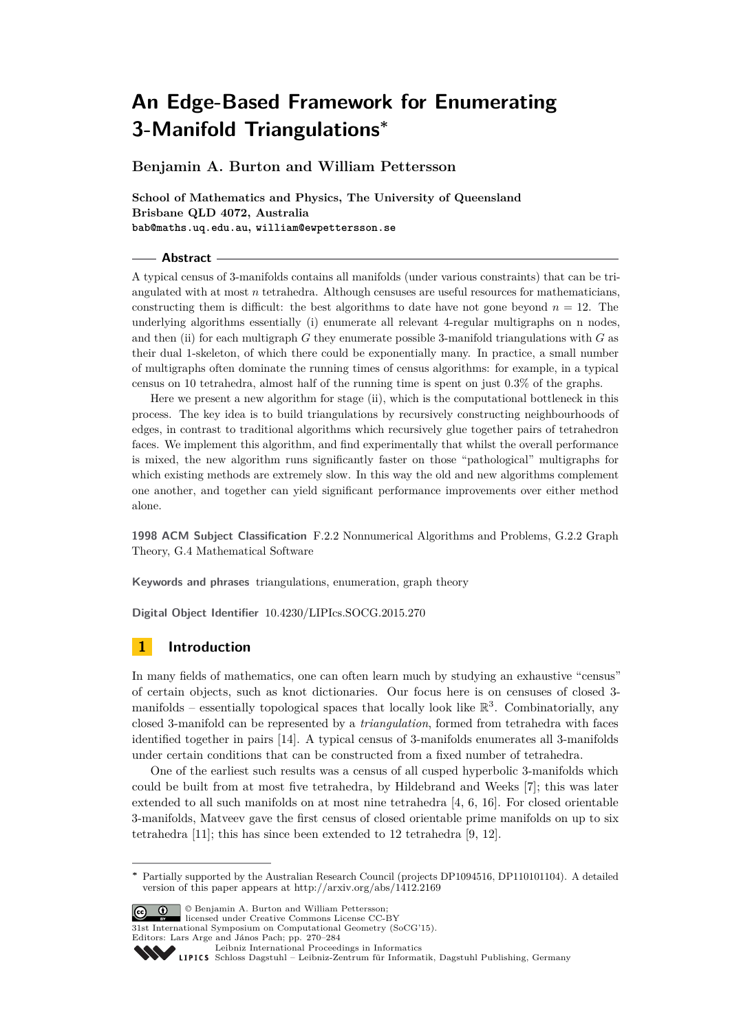# **Benjamin A. Burton and William Pettersson**

**School of Mathematics and Physics, The University of Queensland Brisbane QLD 4072, Australia bab@maths.uq.edu.au, william@ewpettersson.se**

## **Abstract**

A typical census of 3-manifolds contains all manifolds (under various constraints) that can be triangulated with at most *n* tetrahedra. Although censuses are useful resources for mathematicians, constructing them is difficult: the best algorithms to date have not gone beyond  $n = 12$ . The underlying algorithms essentially (i) enumerate all relevant 4-regular multigraphs on n nodes, and then (ii) for each multigraph *G* they enumerate possible 3-manifold triangulations with *G* as their dual 1-skeleton, of which there could be exponentially many. In practice, a small number of multigraphs often dominate the running times of census algorithms: for example, in a typical census on 10 tetrahedra, almost half of the running time is spent on just 0.3% of the graphs.

Here we present a new algorithm for stage (ii), which is the computational bottleneck in this process. The key idea is to build triangulations by recursively constructing neighbourhoods of edges, in contrast to traditional algorithms which recursively glue together pairs of tetrahedron faces. We implement this algorithm, and find experimentally that whilst the overall performance is mixed, the new algorithm runs significantly faster on those "pathological" multigraphs for which existing methods are extremely slow. In this way the old and new algorithms complement one another, and together can yield significant performance improvements over either method alone.

**1998 ACM Subject Classification** F.2.2 Nonnumerical Algorithms and Problems, G.2.2 Graph Theory, G.4 Mathematical Software

**Keywords and phrases** triangulations, enumeration, graph theory

**Digital Object Identifier** [10.4230/LIPIcs.SOCG.2015.270](http://dx.doi.org/10.4230/LIPIcs.SOCG.2015.270)

# **1 Introduction**

In many fields of mathematics, one can often learn much by studying an exhaustive "census" of certain objects, such as knot dictionaries. Our focus here is on censuses of closed 3 manifolds – essentially topological spaces that locally look like  $\mathbb{R}^3$ . Combinatorially, any closed 3-manifold can be represented by a *triangulation*, formed from tetrahedra with faces identified together in pairs [\[14\]](#page-14-0). A typical census of 3-manifolds enumerates all 3-manifolds under certain conditions that can be constructed from a fixed number of tetrahedra.

One of the earliest such results was a census of all cusped hyperbolic 3-manifolds which could be built from at most five tetrahedra, by Hildebrand and Weeks [\[7\]](#page-14-1); this was later extended to all such manifolds on at most nine tetrahedra [\[4,](#page-14-2) [6,](#page-14-3) [16\]](#page-14-4). For closed orientable 3-manifolds, Matveev gave the first census of closed orientable prime manifolds on up to six tetrahedra [\[11\]](#page-14-5); this has since been extended to 12 tetrahedra [\[9,](#page-14-6) [12\]](#page-14-7).

**<sup>∗</sup>** Partially supported by the Australian Research Council (projects DP1094516, DP110101104). A detailed version of this paper appears at http://arxiv.org/abs/1412.2169



© Benjamin A. Burton and William Pettersson; licensed under Creative Commons License CC-BY

31st International Symposium on Computational Geometry (SoCG'15).

Editors: Lars Arge and János Pach; pp. 270[–284](#page-14-8)

[Leibniz International Proceedings in Informatics](http://www.dagstuhl.de/lipics/)

Leibniz international Froceedings in informatik, Dagstuhl Publishing, Germany<br>LIPICS [Schloss Dagstuhl – Leibniz-Zentrum für Informatik, Dagstuhl Publishing, Germany](http://www.dagstuhl.de)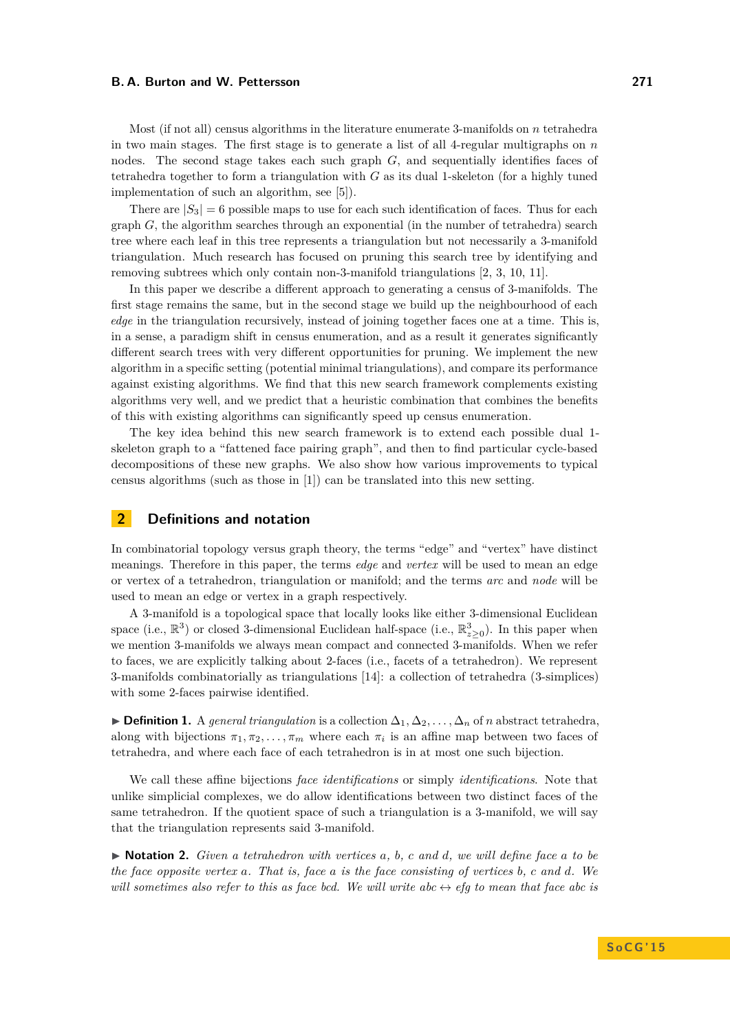Most (if not all) census algorithms in the literature enumerate 3-manifolds on *n* tetrahedra in two main stages. The first stage is to generate a list of all 4-regular multigraphs on *n* nodes. The second stage takes each such graph *G*, and sequentially identifies faces of tetrahedra together to form a triangulation with *G* as its dual 1-skeleton (for a highly tuned implementation of such an algorithm, see [\[5\]](#page-14-9)).

There are  $|S_3| = 6$  possible maps to use for each such identification of faces. Thus for each graph *G*, the algorithm searches through an exponential (in the number of tetrahedra) search tree where each leaf in this tree represents a triangulation but not necessarily a 3-manifold triangulation. Much research has focused on pruning this search tree by identifying and removing subtrees which only contain non-3-manifold triangulations [\[2,](#page-14-10) [3,](#page-14-11) [10,](#page-14-12) [11\]](#page-14-5).

In this paper we describe a different approach to generating a census of 3-manifolds. The first stage remains the same, but in the second stage we build up the neighbourhood of each *edge* in the triangulation recursively, instead of joining together faces one at a time. This is, in a sense, a paradigm shift in census enumeration, and as a result it generates significantly different search trees with very different opportunities for pruning. We implement the new algorithm in a specific setting (potential minimal triangulations), and compare its performance against existing algorithms. We find that this new search framework complements existing algorithms very well, and we predict that a heuristic combination that combines the benefits of this with existing algorithms can significantly speed up census enumeration.

The key idea behind this new search framework is to extend each possible dual 1 skeleton graph to a "fattened face pairing graph", and then to find particular cycle-based decompositions of these new graphs. We also show how various improvements to typical census algorithms (such as those in [\[1\]](#page-14-13)) can be translated into this new setting.

# <span id="page-1-0"></span>**2 Definitions and notation**

In combinatorial topology versus graph theory, the terms "edge" and "vertex" have distinct meanings. Therefore in this paper, the terms *edge* and *vertex* will be used to mean an edge or vertex of a tetrahedron, triangulation or manifold; and the terms *arc* and *node* will be used to mean an edge or vertex in a graph respectively.

A 3-manifold is a topological space that locally looks like either 3-dimensional Euclidean space (i.e.,  $\mathbb{R}^3$ ) or closed 3-dimensional Euclidean half-space (i.e.,  $\mathbb{R}^3_{z\geq 0}$ ). In this paper when we mention 3-manifolds we always mean compact and connected 3-manifolds. When we refer to faces, we are explicitly talking about 2-faces (i.e., facets of a tetrahedron). We represent 3-manifolds combinatorially as triangulations [\[14\]](#page-14-0): a collection of tetrahedra (3-simplices) with some 2-faces pairwise identified.

**► Definition 1.** A *general triangulation* is a collection  $\Delta_1, \Delta_2, \ldots, \Delta_n$  of *n* abstract tetrahedra, along with bijections  $\pi_1, \pi_2, \ldots, \pi_m$  where each  $\pi_i$  is an affine map between two faces of tetrahedra, and where each face of each tetrahedron is in at most one such bijection.

We call these affine bijections *face identifications* or simply *identifications*. Note that unlike simplicial complexes, we do allow identifications between two distinct faces of the same tetrahedron. If the quotient space of such a triangulation is a 3-manifold, we will say that the triangulation represents said 3-manifold.

I **Notation 2.** *Given a tetrahedron with vertices a, b, c and d, we will define face a to be the face opposite vertex a. That is, face a is the face consisting of vertices b, c and d. We will sometimes also refer to this as face bcd. We will write abc*  $\leftrightarrow$  *efg to mean that face abc is*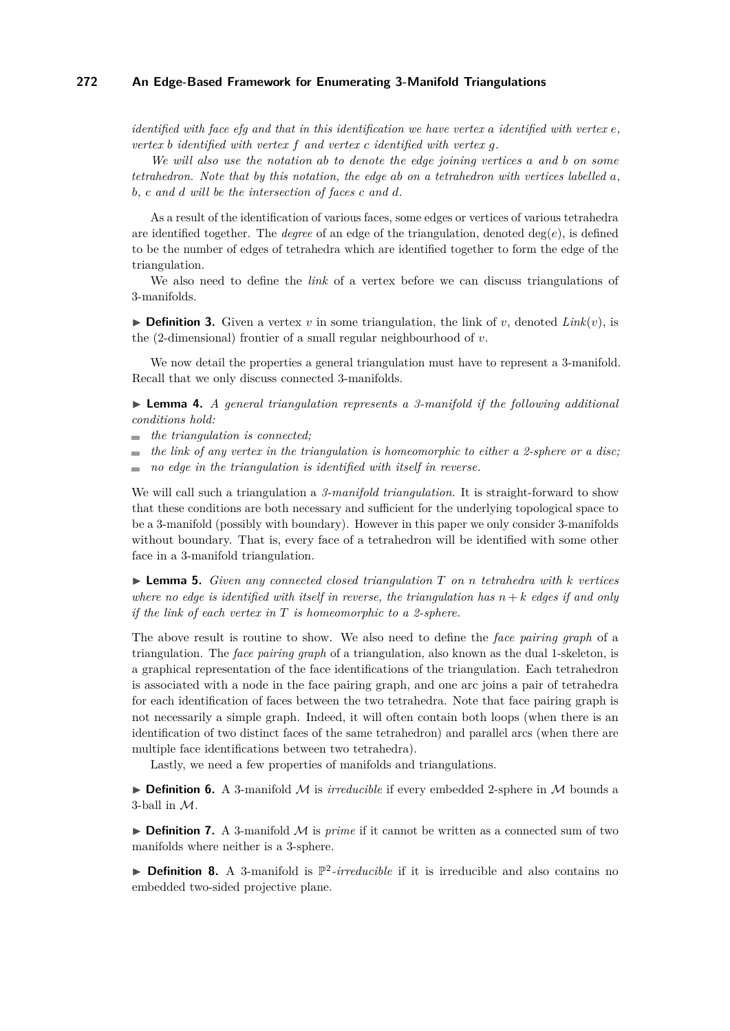*identified with face efg and that in this identification we have vertex a identified with vertex e, vertex b identified with vertex f and vertex c identified with vertex g.*

*We will also use the notation ab to denote the edge joining vertices a and b on some tetrahedron. Note that by this notation, the edge ab on a tetrahedron with vertices labelled a, b, c and d will be the intersection of faces c and d.*

As a result of the identification of various faces, some edges or vertices of various tetrahedra are identified together. The *degree* of an edge of the triangulation, denoted deg(*e*), is defined to be the number of edges of tetrahedra which are identified together to form the edge of the triangulation.

We also need to define the *link* of a vertex before we can discuss triangulations of 3-manifolds.

 $\triangleright$  **Definition 3.** Given a vertex *v* in some triangulation, the link of *v*, denoted *Link*(*v*), is the (2-dimensional) frontier of a small regular neighbourhood of *v*.

We now detail the properties a general triangulation must have to represent a 3-manifold. Recall that we only discuss connected 3-manifolds.

<span id="page-2-0"></span>I **Lemma 4.** *A general triangulation represents a 3-manifold if the following additional conditions hold:*

- *the triangulation is connected;*
- *the link of any vertex in the triangulation is homeomorphic to either a 2-sphere or a disc;*
- *no edge in the triangulation is identified with itself in reverse.*  $\equiv$

We will call such a triangulation a *3-manifold triangulation*. It is straight-forward to show that these conditions are both necessary and sufficient for the underlying topological space to be a 3-manifold (possibly with boundary). However in this paper we only consider 3-manifolds without boundary. That is, every face of a tetrahedron will be identified with some other face in a 3-manifold triangulation.

<span id="page-2-1"></span>I **Lemma 5.** *Given any connected closed triangulation T on n tetrahedra with k vertices where no edge is identified with itself in reverse, the triangulation has*  $n + k$  *edges if and only if the link of each vertex in T is homeomorphic to a 2-sphere.*

The above result is routine to show. We also need to define the *face pairing graph* of a triangulation. The *face pairing graph* of a triangulation, also known as the dual 1-skeleton, is a graphical representation of the face identifications of the triangulation. Each tetrahedron is associated with a node in the face pairing graph, and one arc joins a pair of tetrahedra for each identification of faces between the two tetrahedra. Note that face pairing graph is not necessarily a simple graph. Indeed, it will often contain both loops (when there is an identification of two distinct faces of the same tetrahedron) and parallel arcs (when there are multiple face identifications between two tetrahedra).

Lastly, we need a few properties of manifolds and triangulations.

**► Definition 6.** A 3-manifold M is *irreducible* if every embedded 2-sphere in M bounds a 3-ball in M.

► **Definition 7.** A 3-manifold *M* is *prime* if it cannot be written as a connected sum of two manifolds where neither is a 3-sphere.

**Definition 8.** A 3-manifold is  $\mathbb{P}^2$ -irreducible if it is irreducible and also contains no embedded two-sided projective plane.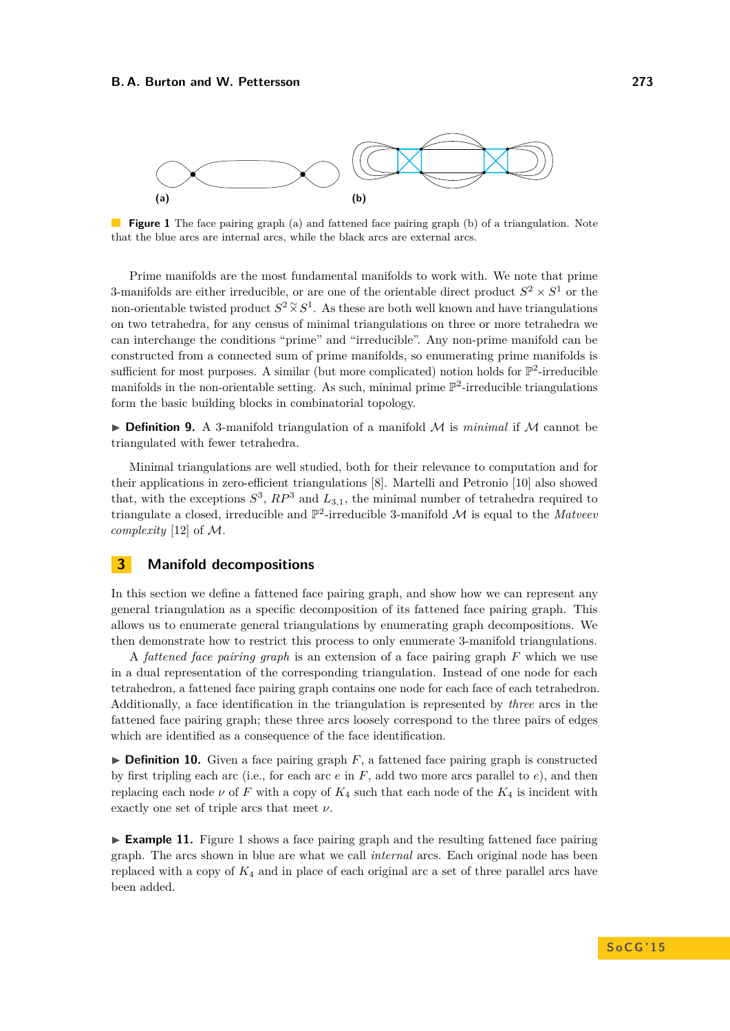<span id="page-3-0"></span>

**Figure 1** The face pairing graph (a) and fattened face pairing graph (b) of a triangulation. Note that the blue arcs are internal arcs, while the black arcs are external arcs.

Prime manifolds are the most fundamental manifolds to work with. We note that prime 3-manifolds are either irreducible, or are one of the orientable direct product  $S^2 \times S^1$  or the non-orientable twisted product  $S^2 \times S^1$ . As these are both well known and have triangulations on two tetrahedra, for any census of minimal triangulations on three or more tetrahedra we can interchange the conditions "prime" and "irreducible". Any non-prime manifold can be constructed from a connected sum of prime manifolds, so enumerating prime manifolds is sufficient for most purposes. A similar (but more complicated) notion holds for  $\mathbb{P}^2$ -irreducible manifolds in the non-orientable setting. As such, minimal prime  $\mathbb{P}^2$ -irreducible triangulations form the basic building blocks in combinatorial topology.

**Definition 9.** A 3-manifold triangulation of a manifold  $M$  is *minimal* if M cannot be triangulated with fewer tetrahedra.

Minimal triangulations are well studied, both for their relevance to computation and for their applications in zero-efficient triangulations [\[8\]](#page-14-14). Martelli and Petronio [\[10\]](#page-14-12) also showed that, with the exceptions  $S^3$ ,  $RP^3$  and  $L_{3,1}$ , the minimal number of tetrahedra required to triangulate a closed, irreducible and  $\mathbb{P}^2$ -irreducible 3-manifold M is equal to the *Matveet complexity* [\[12\]](#page-14-7) of M.

## **3 Manifold decompositions**

In this section we define a fattened face pairing graph, and show how we can represent any general triangulation as a specific decomposition of its fattened face pairing graph. This allows us to enumerate general triangulations by enumerating graph decompositions. We then demonstrate how to restrict this process to only enumerate 3-manifold triangulations.

A *fattened face pairing graph* is an extension of a face pairing graph *F* which we use in a dual representation of the corresponding triangulation. Instead of one node for each tetrahedron, a fattened face pairing graph contains one node for each face of each tetrahedron. Additionally, a face identification in the triangulation is represented by *three* arcs in the fattened face pairing graph; these three arcs loosely correspond to the three pairs of edges which are identified as a consequence of the face identification.

 $\triangleright$  **Definition 10.** Given a face pairing graph  $F$ , a fattened face pairing graph is constructed by first tripling each arc (i.e., for each arc *e* in *F*, add two more arcs parallel to *e*), and then replacing each node  $\nu$  of F with a copy of  $K_4$  such that each node of the  $K_4$  is incident with exactly one set of triple arcs that meet *ν*.

► **Example [1](#page-3-0)1.** Figure 1 shows a face pairing graph and the resulting fattened face pairing graph. The arcs shown in blue are what we call *internal* arcs. Each original node has been replaced with a copy of  $K_4$  and in place of each original arc a set of three parallel arcs have been added.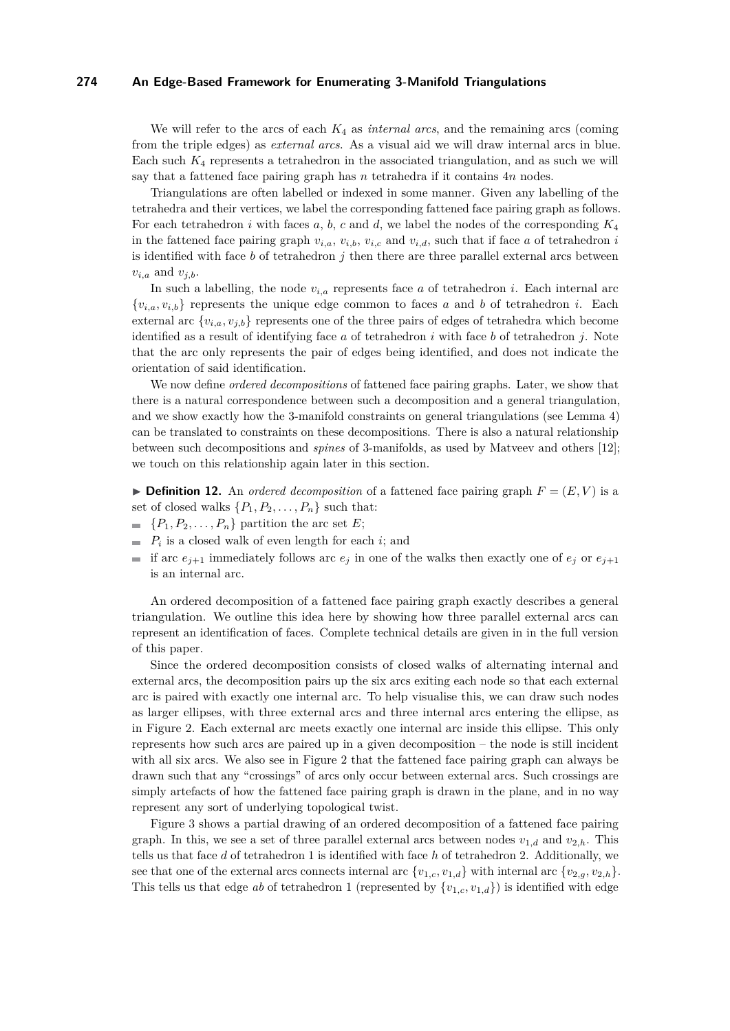We will refer to the arcs of each *K*<sup>4</sup> as *internal arcs*, and the remaining arcs (coming from the triple edges) as *external arcs*. As a visual aid we will draw internal arcs in blue. Each such  $K_4$  represents a tetrahedron in the associated triangulation, and as such we will say that a fattened face pairing graph has *n* tetrahedra if it contains 4*n* nodes.

Triangulations are often labelled or indexed in some manner. Given any labelling of the tetrahedra and their vertices, we label the corresponding fattened face pairing graph as follows. For each tetrahedron *i* with faces *a*, *b*, *c* and *d*, we label the nodes of the corresponding *K*<sup>4</sup> in the fattened face pairing graph  $v_{i,a}$ ,  $v_{i,b}$ ,  $v_{i,c}$  and  $v_{i,d}$ , such that if face *a* of tetrahedron *i* is identified with face *b* of tetrahedron *j* then there are three parallel external arcs between  $v_{i,a}$  and  $v_{i,b}$ .

In such a labelling, the node  $v_{i,a}$  represents face  $a$  of tetrahedron  $i$ . Each internal arc  $\{v_{i,a}, v_{i,b}\}$  represents the unique edge common to faces *a* and *b* of tetrahedron *i*. Each external arc  $\{v_{i,a}, v_{i,b}\}$  represents one of the three pairs of edges of tetrahedra which become identified as a result of identifying face *a* of tetrahedron *i* with face *b* of tetrahedron *j*. Note that the arc only represents the pair of edges being identified, and does not indicate the orientation of said identification.

We now define *ordered decompositions* of fattened face pairing graphs. Later, we show that there is a natural correspondence between such a decomposition and a general triangulation, and we show exactly how the 3-manifold constraints on general triangulations (see Lemma [4\)](#page-2-0) can be translated to constraints on these decompositions. There is also a natural relationship between such decompositions and *spines* of 3-manifolds, as used by Matveev and others [\[12\]](#page-14-7); we touch on this relationship again later in this section.

 $\triangleright$  **Definition 12.** An *ordered decomposition* of a fattened face pairing graph  $F = (E, V)$  is a set of closed walks  $\{P_1, P_2, \ldots, P_n\}$  such that:

- ${P_1, P_2, \ldots, P_n}$  partition the arc set *E*;
- $P_i$  is a closed walk of even length for each  $i$ ; and
- if arc  $e_{i+1}$  immediately follows arc  $e_i$  in one of the walks then exactly one of  $e_i$  or  $e_{i+1}$ is an internal arc.

An ordered decomposition of a fattened face pairing graph exactly describes a general triangulation. We outline this idea here by showing how three parallel external arcs can represent an identification of faces. Complete technical details are given in in the full version of this paper.

Since the ordered decomposition consists of closed walks of alternating internal and external arcs, the decomposition pairs up the six arcs exiting each node so that each external arc is paired with exactly one internal arc. To help visualise this, we can draw such nodes as larger ellipses, with three external arcs and three internal arcs entering the ellipse, as in Figure [2.](#page-5-0) Each external arc meets exactly one internal arc inside this ellipse. This only represents how such arcs are paired up in a given decomposition – the node is still incident with all six arcs. We also see in Figure [2](#page-5-0) that the fattened face pairing graph can always be drawn such that any "crossings" of arcs only occur between external arcs. Such crossings are simply artefacts of how the fattened face pairing graph is drawn in the plane, and in no way represent any sort of underlying topological twist.

Figure [3](#page-5-1) shows a partial drawing of an ordered decomposition of a fattened face pairing graph. In this, we see a set of three parallel external arcs between nodes  $v_{1,d}$  and  $v_{2,h}$ . This tells us that face *d* of tetrahedron 1 is identified with face *h* of tetrahedron 2. Additionally, we see that one of the external arcs connects internal arc  $\{v_{1,c}, v_{1,d}\}$  with internal arc  $\{v_{2,g}, v_{2,h}\}.$ This tells us that edge *ab* of tetrahedron 1 (represented by  $\{v_{1,c}, v_{1,d}\}$ ) is identified with edge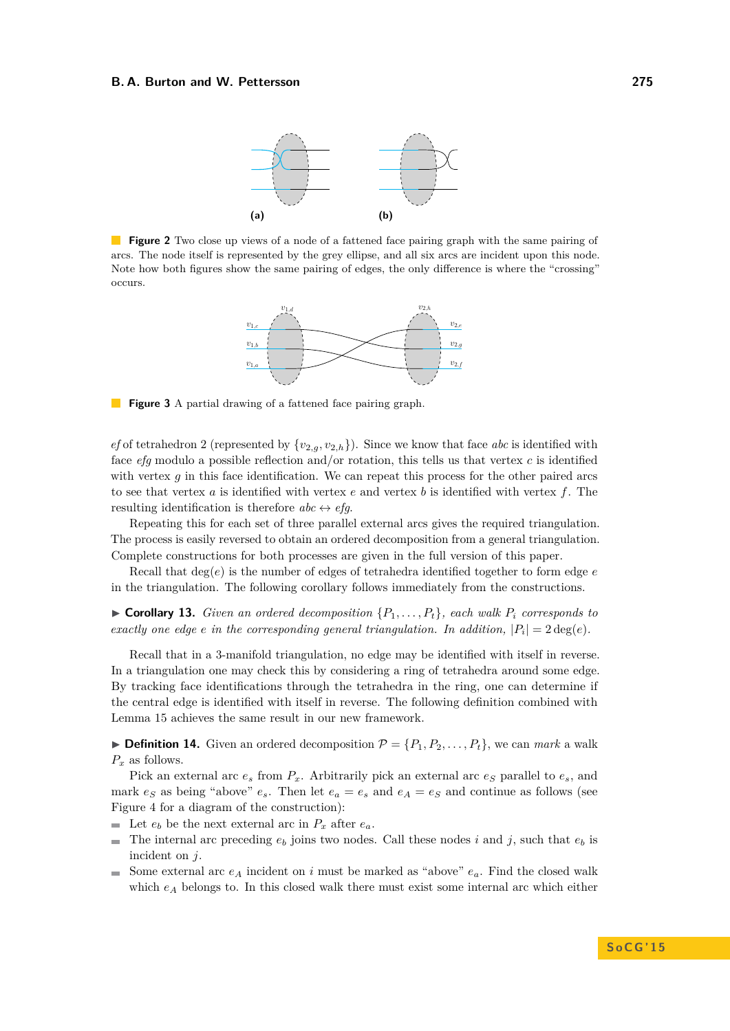

<span id="page-5-1"></span><span id="page-5-0"></span>**Figure 2** Two close up views of a node of a fattened face pairing graph with the same pairing of arcs. The node itself is represented by the grey ellipse, and all six arcs are incident upon this node. Note how both figures show the same pairing of edges, the only difference is where the "crossing" occurs.



**Figure 3** A partial drawing of a fattened face pairing graph.

*ef* of tetrahedron 2 (represented by  $\{v_{2,q}, v_{2,h}\}\)$ . Since we know that face *abc* is identified with face *efg* modulo a possible reflection and/or rotation, this tells us that vertex *c* is identified with vertex *g* in this face identification. We can repeat this process for the other paired arcs to see that vertex *a* is identified with vertex *e* and vertex *b* is identified with vertex *f*. The resulting identification is therefore  $abc \leftrightarrow e\bar{e}q$ .

Repeating this for each set of three parallel external arcs gives the required triangulation. The process is easily reversed to obtain an ordered decomposition from a general triangulation. Complete constructions for both processes are given in the full version of this paper.

Recall that deg(*e*) is the number of edges of tetrahedra identified together to form edge *e* in the triangulation. The following corollary follows immediately from the constructions.

<span id="page-5-3"></span> $\triangleright$  **Corollary 13.** *Given an ordered decomposition*  $\{P_1, \ldots, P_t\}$ *, each walk*  $P_i$  *corresponds to exactly one edge e in the corresponding general triangulation. In addition,*  $|P_i| = 2 \deg(e)$ .

Recall that in a 3-manifold triangulation, no edge may be identified with itself in reverse. In a triangulation one may check this by considering a ring of tetrahedra around some edge. By tracking face identifications through the tetrahedra in the ring, one can determine if the central edge is identified with itself in reverse. The following definition combined with Lemma [15](#page-6-0) achieves the same result in our new framework.

<span id="page-5-2"></span> $\triangleright$  **Definition 14.** Given an ordered decomposition  $\mathcal{P} = \{P_1, P_2, \ldots, P_t\}$ , we can *mark* a walk *P<sup>x</sup>* as follows.

Pick an external arc *e<sup>s</sup>* from *Px*. Arbitrarily pick an external arc *e<sup>S</sup>* parallel to *es*, and mark  $e_S$  as being "above"  $e_s$ . Then let  $e_a = e_s$  and  $e_A = e_S$  and continue as follows (see Figure [4](#page-6-1) for a diagram of the construction):

- Let  $e_b$  be the next external arc in  $P_x$  after  $e_a$ .  $\blacksquare$
- The internal arc preceding  $e_b$  joins two nodes. Call these nodes *i* and *j*, such that  $e_b$  is  $\blacksquare$ incident on *j*.
- Some external arc *e<sup>A</sup>* incident on *i* must be marked as "above" *ea*. Find the closed walk  $\mathbf{r}$ which  $e_A$  belongs to. In this closed walk there must exist some internal arc which either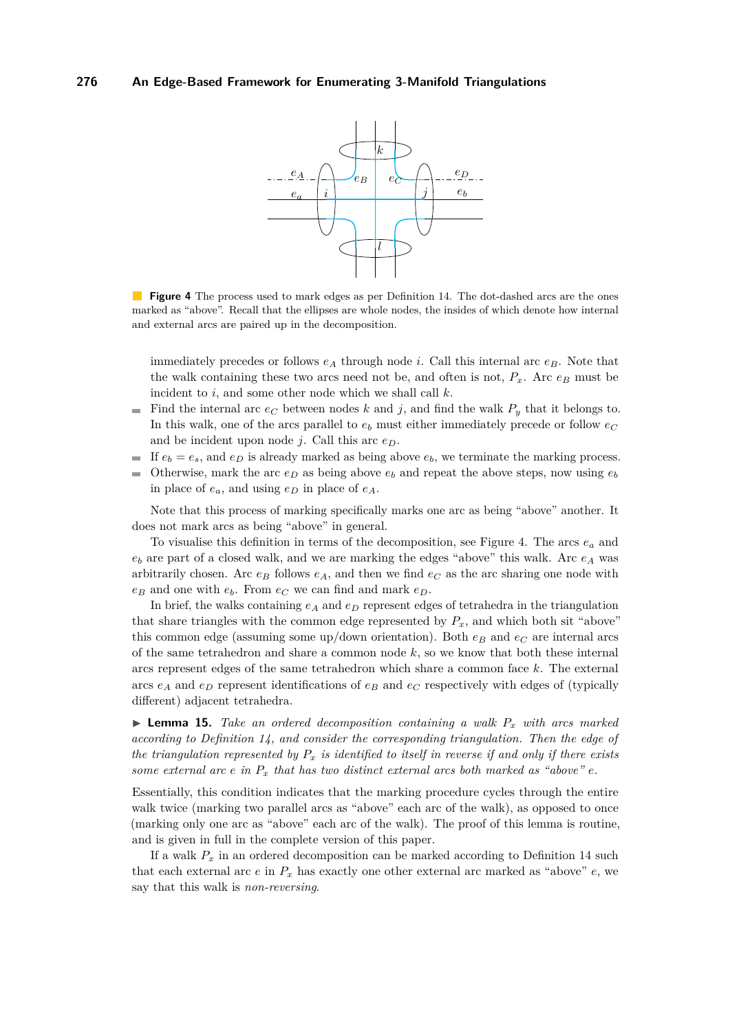<span id="page-6-1"></span>

**Figure 4** The process used to mark edges as per Definition [14.](#page-5-2) The dot-dashed arcs are the ones marked as "above". Recall that the ellipses are whole nodes, the insides of which denote how internal and external arcs are paired up in the decomposition.

immediately precedes or follows  $e_A$  through node *i*. Call this internal arc  $e_B$ . Note that the walk containing these two arcs need not be, and often is not,  $P_x$ . Arc  $e_B$  must be incident to *i*, and some other node which we shall call *k*.

- $\equiv$ Find the internal arc *e<sup>C</sup>* between nodes *k* and *j*, and find the walk *P<sup>y</sup>* that it belongs to. In this walk, one of the arcs parallel to  $e_b$  must either immediately precede or follow  $e_C$ and be incident upon node *j*. Call this arc  $e_D$ .
- If  $e_b = e_s$ , and  $e_D$  is already marked as being above  $e_b$ , we terminate the marking process.
- Otherwise, mark the arc  $e_D$  as being above  $e_b$  and repeat the above steps, now using  $e_b$ in place of  $e_a$ , and using  $e_D$  in place of  $e_A$ .

Note that this process of marking specifically marks one arc as being "above" another. It does not mark arcs as being "above" in general.

To visualise this definition in terms of the decomposition, see Figure [4.](#page-6-1) The arcs *e<sup>a</sup>* and *e<sup>b</sup>* are part of a closed walk, and we are marking the edges "above" this walk. Arc *e<sup>A</sup>* was arbitrarily chosen. Arc  $e_B$  follows  $e_A$ , and then we find  $e_C$  as the arc sharing one node with  $e_B$  and one with  $e_b$ . From  $e_C$  we can find and mark  $e_D$ .

In brief, the walks containing  $e_A$  and  $e_D$  represent edges of tetrahedra in the triangulation that share triangles with the common edge represented by  $P_x$ , and which both sit "above" this common edge (assuming some up/down orientation). Both  $e_B$  and  $e_C$  are internal arcs of the same tetrahedron and share a common node *k*, so we know that both these internal arcs represent edges of the same tetrahedron which share a common face *k*. The external arcs  $e_A$  and  $e_D$  represent identifications of  $e_B$  and  $e_C$  respectively with edges of (typically different) adjacent tetrahedra.

<span id="page-6-0"></span>**I Lemma 15.** Take an ordered decomposition containing a walk  $P_x$  with arcs marked *according to Definition [14,](#page-5-2) and consider the corresponding triangulation. Then the edge of the triangulation represented by*  $P_x$  *is identified to itself in reverse if and only if there exists some external arc e* in  $P_x$  *that has two distinct external arcs both marked as "above" <i>e*.

Essentially, this condition indicates that the marking procedure cycles through the entire walk twice (marking two parallel arcs as "above" each arc of the walk), as opposed to once (marking only one arc as "above" each arc of the walk). The proof of this lemma is routine, and is given in full in the complete version of this paper.

If a walk  $P_x$  in an ordered decomposition can be marked according to Definition [14](#page-5-2) such that each external arc  $e$  in  $P_x$  has exactly one other external arc marked as "above"  $e$ , we say that this walk is *non-reversing*.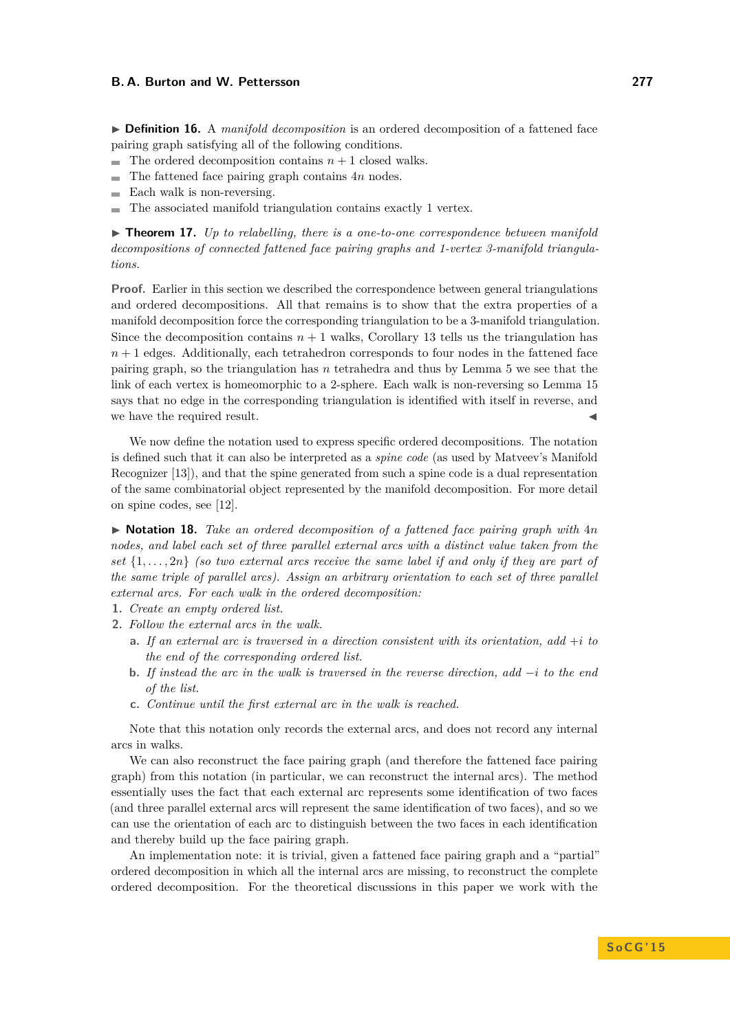<span id="page-7-1"></span>▶ **Definition 16.** A *manifold decomposition* is an ordered decomposition of a fattened face pairing graph satisfying all of the following conditions.

- The ordered decomposition contains  $n + 1$  closed walks.  $\overline{a}$
- The fattened face pairing graph contains 4*n* nodes.
- Each walk is non-reversing.  $\mathbf{r}$
- The associated manifold triangulation contains exactly 1 vertex.  $\blacksquare$

 $\triangleright$  **Theorem 17.** *Up to relabelling, there is a one-to-one correspondence between manifold decompositions of connected fattened face pairing graphs and 1-vertex 3-manifold triangulations.*

**Proof.** Earlier in this section we described the correspondence between general triangulations and ordered decompositions. All that remains is to show that the extra properties of a manifold decomposition force the corresponding triangulation to be a 3-manifold triangulation. Since the decomposition contains  $n+1$  walks, Corollary [13](#page-5-3) tells us the triangulation has  $n+1$  edges. Additionally, each tetrahedron corresponds to four nodes in the fattened face pairing graph, so the triangulation has *n* tetrahedra and thus by Lemma [5](#page-2-1) we see that the link of each vertex is homeomorphic to a 2-sphere. Each walk is non-reversing so Lemma [15](#page-6-0) says that no edge in the corresponding triangulation is identified with itself in reverse, and we have the required result.

We now define the notation used to express specific ordered decompositions. The notation is defined such that it can also be interpreted as a *spine code* (as used by Matveev's Manifold Recognizer [\[13\]](#page-14-15)), and that the spine generated from such a spine code is a dual representation of the same combinatorial object represented by the manifold decomposition. For more detail on spine codes, see [\[12\]](#page-14-7).

<span id="page-7-0"></span>▶ **Notation 18.** *Take an ordered decomposition of a fattened face pairing graph with* 4*n nodes, and label each set of three parallel external arcs with a distinct value taken from the set*  $\{1, \ldots, 2n\}$  *(so two external arcs receive the same label if and only if they are part of the same triple of parallel arcs). Assign an arbitrary orientation to each set of three parallel external arcs. For each walk in the ordered decomposition:*

- **1.** *Create an empty ordered list.*
- **2.** *Follow the external arcs in the walk.*
	- **a.** *If an external arc is traversed in a direction consistent with its orientation, add* +*i to the end of the corresponding ordered list.*
	- **b.** *If instead the arc in the walk is traversed in the reverse direction, add* −*i to the end of the list.*
	- **c.** *Continue until the first external arc in the walk is reached.*

Note that this notation only records the external arcs, and does not record any internal arcs in walks.

We can also reconstruct the face pairing graph (and therefore the fattened face pairing graph) from this notation (in particular, we can reconstruct the internal arcs). The method essentially uses the fact that each external arc represents some identification of two faces (and three parallel external arcs will represent the same identification of two faces), and so we can use the orientation of each arc to distinguish between the two faces in each identification and thereby build up the face pairing graph.

An implementation note: it is trivial, given a fattened face pairing graph and a "partial" ordered decomposition in which all the internal arcs are missing, to reconstruct the complete ordered decomposition. For the theoretical discussions in this paper we work with the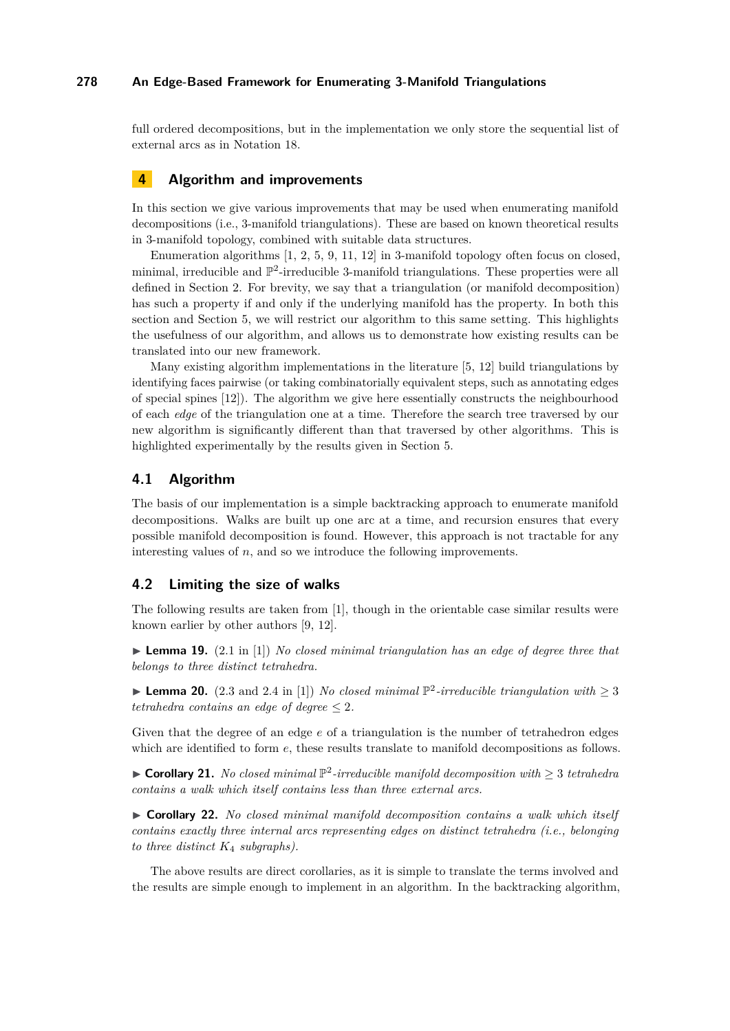full ordered decompositions, but in the implementation we only store the sequential list of external arcs as in Notation [18.](#page-7-0)

# <span id="page-8-1"></span>**4 Algorithm and improvements**

In this section we give various improvements that may be used when enumerating manifold decompositions (i.e., 3-manifold triangulations). These are based on known theoretical results in 3-manifold topology, combined with suitable data structures.

Enumeration algorithms [\[1,](#page-14-13) [2,](#page-14-10) [5,](#page-14-9) [9,](#page-14-6) [11,](#page-14-5) [12\]](#page-14-7) in 3-manifold topology often focus on closed, minimal, irreducible and  $\mathbb{P}^2$ -irreducible 3-manifold triangulations. These properties were all defined in Section [2.](#page-1-0) For brevity, we say that a triangulation (or manifold decomposition) has such a property if and only if the underlying manifold has the property. In both this section and Section [5,](#page-11-0) we will restrict our algorithm to this same setting. This highlights the usefulness of our algorithm, and allows us to demonstrate how existing results can be translated into our new framework.

Many existing algorithm implementations in the literature [\[5,](#page-14-9) [12\]](#page-14-7) build triangulations by identifying faces pairwise (or taking combinatorially equivalent steps, such as annotating edges of special spines [\[12\]](#page-14-7)). The algorithm we give here essentially constructs the neighbourhood of each *edge* of the triangulation one at a time. Therefore the search tree traversed by our new algorithm is significantly different than that traversed by other algorithms. This is highlighted experimentally by the results given in Section [5.](#page-11-0)

# **4.1 Algorithm**

The basis of our implementation is a simple backtracking approach to enumerate manifold decompositions. Walks are built up one arc at a time, and recursion ensures that every possible manifold decomposition is found. However, this approach is not tractable for any interesting values of *n*, and so we introduce the following improvements.

# **4.2 Limiting the size of walks**

The following results are taken from [\[1\]](#page-14-13), though in the orientable case similar results were known earlier by other authors [\[9,](#page-14-6) [12\]](#page-14-7).

 $\blacktriangleright$  **Lemma 19.** (2.1 in [\[1\]](#page-14-13)) *No closed minimal triangulation has an edge of degree three that belongs to three distinct tetrahedra.*

**► Lemma 20.** (2.3 and 2.4 in [\[1\]](#page-14-13)) *No closed minimal*  $\mathbb{P}^2$ -irreducible triangulation with  $\geq$  3 *tetrahedra contains an edge of degree* ≤ 2*.*

Given that the degree of an edge *e* of a triangulation is the number of tetrahedron edges which are identified to form *e*, these results translate to manifold decompositions as follows.

**► Corollary 21.** No closed minimal  $\mathbb{P}^2$ -irreducible manifold decomposition with  $\geq 3$  tetrahedra *contains a walk which itself contains less than three external arcs.*

<span id="page-8-0"></span>I **Corollary 22.** *No closed minimal manifold decomposition contains a walk which itself contains exactly three internal arcs representing edges on distinct tetrahedra (i.e., belonging to three distinct K*<sup>4</sup> *subgraphs).*

The above results are direct corollaries, as it is simple to translate the terms involved and the results are simple enough to implement in an algorithm. In the backtracking algorithm,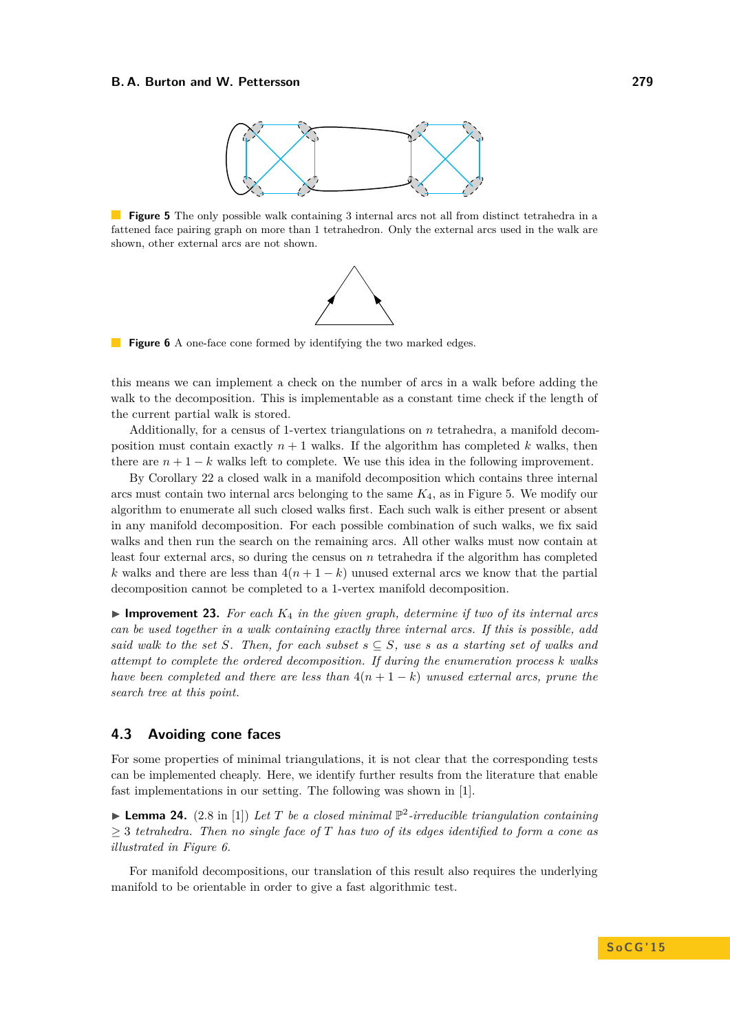

<span id="page-9-1"></span><span id="page-9-0"></span>**Figure 5** The only possible walk containing 3 internal arcs not all from distinct tetrahedra in a fattened face pairing graph on more than 1 tetrahedron. Only the external arcs used in the walk are shown, other external arcs are not shown.



**Figure 6** A one-face cone formed by identifying the two marked edges.

this means we can implement a check on the number of arcs in a walk before adding the walk to the decomposition. This is implementable as a constant time check if the length of the current partial walk is stored.

Additionally, for a census of 1-vertex triangulations on *n* tetrahedra, a manifold decomposition must contain exactly  $n+1$  walks. If the algorithm has completed k walks, then there are  $n + 1 - k$  walks left to complete. We use this idea in the following improvement.

By Corollary [22](#page-8-0) a closed walk in a manifold decomposition which contains three internal arcs must contain two internal arcs belonging to the same *K*4, as in Figure [5.](#page-9-0) We modify our algorithm to enumerate all such closed walks first. Each such walk is either present or absent in any manifold decomposition. For each possible combination of such walks, we fix said walks and then run the search on the remaining arcs. All other walks must now contain at least four external arcs, so during the census on *n* tetrahedra if the algorithm has completed *k* walks and there are less than  $4(n+1-k)$  unused external arcs we know that the partial decomposition cannot be completed to a 1-vertex manifold decomposition.

<span id="page-9-2"></span>**Improvement 23.** For each  $K_4$  in the given graph, determine if two of its internal arcs *can be used together in a walk containing exactly three internal arcs. If this is possible, add said walk to the set S. Then, for each subset*  $s \subseteq S$ *, use s as a starting set of walks and attempt to complete the ordered decomposition. If during the enumeration process k walks have been completed and there are less than*  $4(n+1-k)$  *unused external arcs, prune the search tree at this point.*

# **4.3 Avoiding cone faces**

For some properties of minimal triangulations, it is not clear that the corresponding tests can be implemented cheaply. Here, we identify further results from the literature that enable fast implementations in our setting. The following was shown in [\[1\]](#page-14-13).

**Lemma 24.** (2.8 in [\[1\]](#page-14-13)) Let T be a closed minimal  $\mathbb{P}^2$ -irreducible triangulation containing ≥ 3 *tetrahedra. Then no single face of T has two of its edges identified to form a cone as illustrated in Figure [6.](#page-9-1)*

For manifold decompositions, our translation of this result also requires the underlying manifold to be orientable in order to give a fast algorithmic test.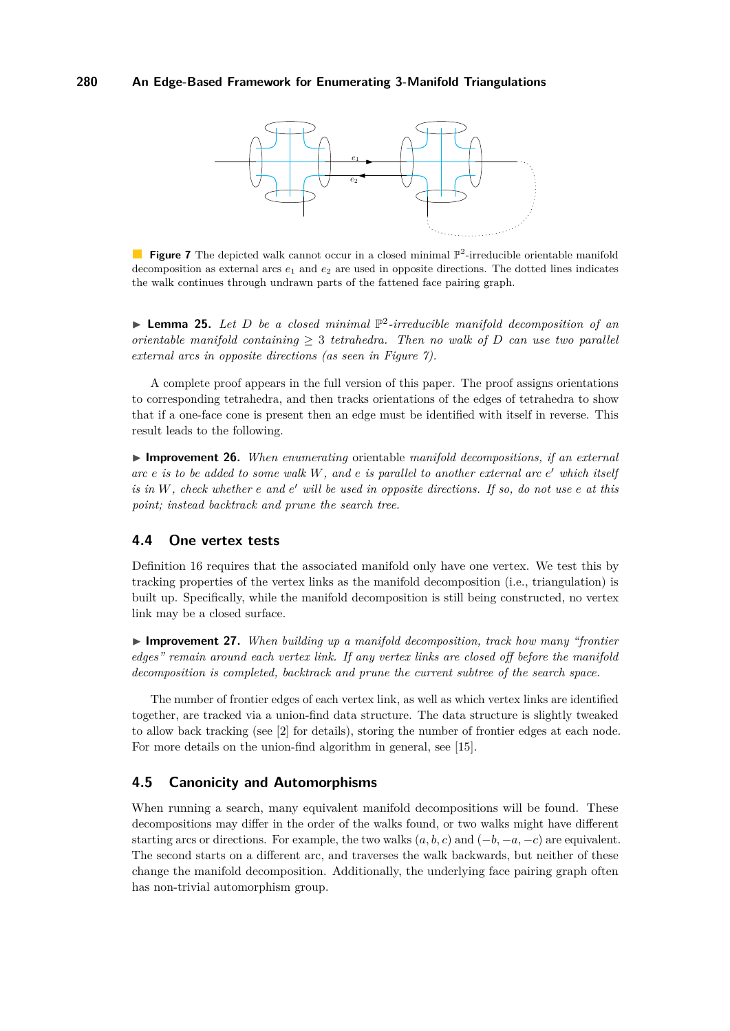<span id="page-10-0"></span>

Figure 7 The depicted walk cannot occur in a closed minimal  $\mathbb{P}^2$ -irreducible orientable manifold decomposition as external arcs *e*<sup>1</sup> and *e*<sup>2</sup> are used in opposite directions. The dotted lines indicates the walk continues through undrawn parts of the fattened face pairing graph.

▶ Lemma 25. Let D be a closed minimal  $\mathbb{P}^2$ -irreducible manifold decomposition of an *orientable manifold containing*  $\geq$  3 *tetrahedra. Then no walk of D can use two parallel external arcs in opposite directions (as seen in Figure [7\)](#page-10-0).*

A complete proof appears in the full version of this paper. The proof assigns orientations to corresponding tetrahedra, and then tracks orientations of the edges of tetrahedra to show that if a one-face cone is present then an edge must be identified with itself in reverse. This result leads to the following.

<span id="page-10-2"></span>I **Improvement 26.** *When enumerating* orientable *manifold decompositions, if an external arc e is to be added to some walk W, and e is parallel to another external arc e* <sup>0</sup> *which itself is in*  $W$ *, check whether*  $e$  *and*  $e'$  *will be used in opposite directions. If so, do not use*  $e$  *at this point; instead backtrack and prune the search tree.*

## **4.4 One vertex tests**

Definition [16](#page-7-1) requires that the associated manifold only have one vertex. We test this by tracking properties of the vertex links as the manifold decomposition (i.e., triangulation) is built up. Specifically, while the manifold decomposition is still being constructed, no vertex link may be a closed surface.

<span id="page-10-1"></span>▶ Improvement 27. When building up a manifold decomposition, track how many "frontier *edges" remain around each vertex link. If any vertex links are closed off before the manifold decomposition is completed, backtrack and prune the current subtree of the search space.*

The number of frontier edges of each vertex link, as well as which vertex links are identified together, are tracked via a union-find data structure. The data structure is slightly tweaked to allow back tracking (see [\[2\]](#page-14-10) for details), storing the number of frontier edges at each node. For more details on the union-find algorithm in general, see [\[15\]](#page-14-16).

# **4.5 Canonicity and Automorphisms**

When running a search, many equivalent manifold decompositions will be found. These decompositions may differ in the order of the walks found, or two walks might have different starting arcs or directions. For example, the two walks  $(a, b, c)$  and  $(-b, -a, -c)$  are equivalent. The second starts on a different arc, and traverses the walk backwards, but neither of these change the manifold decomposition. Additionally, the underlying face pairing graph often has non-trivial automorphism group.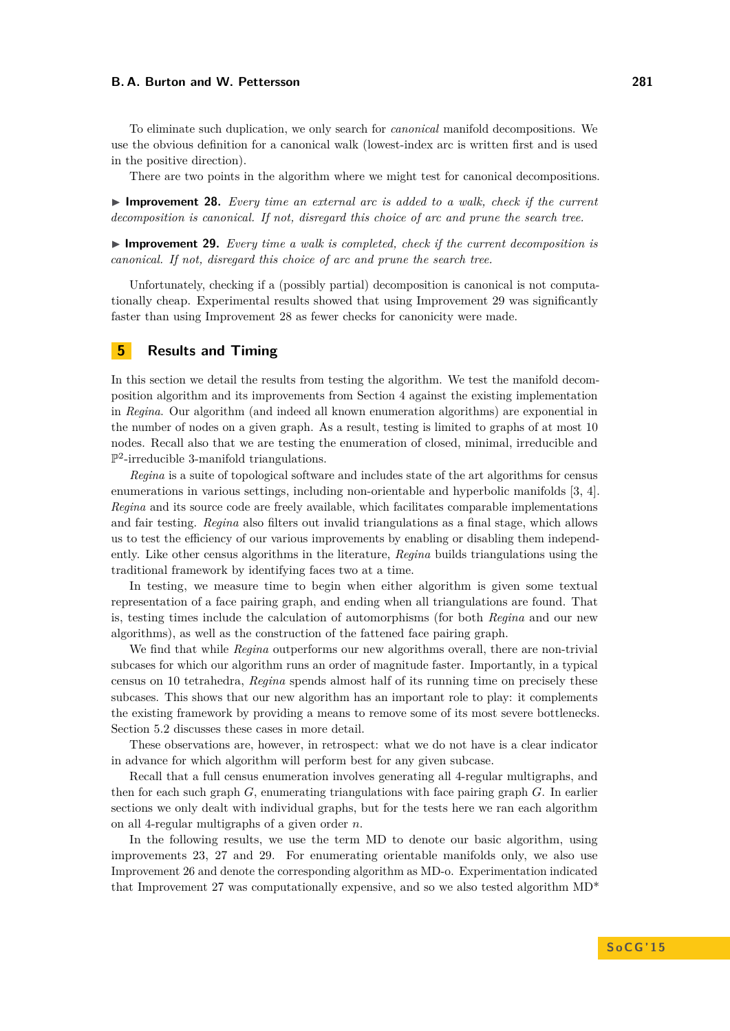To eliminate such duplication, we only search for *canonical* manifold decompositions. We use the obvious definition for a canonical walk (lowest-index arc is written first and is used in the positive direction).

There are two points in the algorithm where we might test for canonical decompositions.

<span id="page-11-2"></span> $\triangleright$  **Improvement 28.** *Every time an external arc is added to a walk, check if the current decomposition is canonical. If not, disregard this choice of arc and prune the search tree.*

<span id="page-11-1"></span>► **Improvement 29.** *Every time a walk is completed, check if the current decomposition is canonical. If not, disregard this choice of arc and prune the search tree.*

Unfortunately, checking if a (possibly partial) decomposition is canonical is not computationally cheap. Experimental results showed that using Improvement [29](#page-11-1) was significantly faster than using Improvement [28](#page-11-2) as fewer checks for canonicity were made.

# <span id="page-11-0"></span>**5 Results and Timing**

In this section we detail the results from testing the algorithm. We test the manifold decomposition algorithm and its improvements from Section [4](#page-8-1) against the existing implementation in *Regina*. Our algorithm (and indeed all known enumeration algorithms) are exponential in the number of nodes on a given graph. As a result, testing is limited to graphs of at most 10 nodes. Recall also that we are testing the enumeration of closed, minimal, irreducible and  $\mathbb{P}^2$ -irreducible 3-manifold triangulations.

*Regina* is a suite of topological software and includes state of the art algorithms for census enumerations in various settings, including non-orientable and hyperbolic manifolds [\[3,](#page-14-11) [4\]](#page-14-2). *Regina* and its source code are freely available, which facilitates comparable implementations and fair testing. *Regina* also filters out invalid triangulations as a final stage, which allows us to test the efficiency of our various improvements by enabling or disabling them independently. Like other census algorithms in the literature, *Regina* builds triangulations using the traditional framework by identifying faces two at a time.

In testing, we measure time to begin when either algorithm is given some textual representation of a face pairing graph, and ending when all triangulations are found. That is, testing times include the calculation of automorphisms (for both *Regina* and our new algorithms), as well as the construction of the fattened face pairing graph.

We find that while *Regina* outperforms our new algorithms overall, there are non-trivial subcases for which our algorithm runs an order of magnitude faster. Importantly, in a typical census on 10 tetrahedra, *Regina* spends almost half of its running time on precisely these subcases. This shows that our new algorithm has an important role to play: it complements the existing framework by providing a means to remove some of its most severe bottlenecks. Section [5.2](#page-13-0) discusses these cases in more detail.

These observations are, however, in retrospect: what we do not have is a clear indicator in advance for which algorithm will perform best for any given subcase.

Recall that a full census enumeration involves generating all 4-regular multigraphs, and then for each such graph *G*, enumerating triangulations with face pairing graph *G*. In earlier sections we only dealt with individual graphs, but for the tests here we ran each algorithm on all 4-regular multigraphs of a given order *n*.

In the following results, we use the term MD to denote our basic algorithm, using improvements [23,](#page-9-2) [27](#page-10-1) and [29.](#page-11-1) For enumerating orientable manifolds only, we also use Improvement [26](#page-10-2) and denote the corresponding algorithm as MD-o. Experimentation indicated that Improvement [27](#page-10-1) was computationally expensive, and so we also tested algorithm MD\*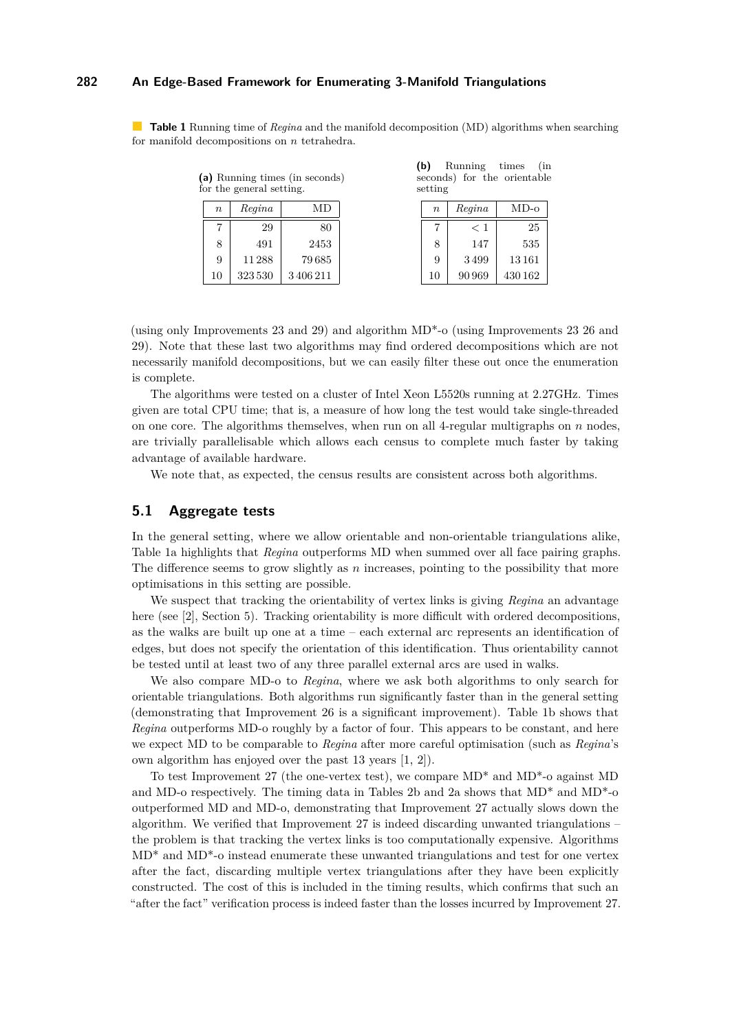<span id="page-12-0"></span>**Table 1** Running time of *Regina* and the manifold decomposition (MD) algorithms when searching for manifold decompositions on *n* tetrahedra.

| Regina<br>$\eta$ |        | МD      |  |
|------------------|--------|---------|--|
|                  | 29     | 80      |  |
| 8                | 491    | 2453    |  |
| 9                | 11288  | 79685   |  |
| 10               | 323530 | 3406211 |  |

**(a)** Running times (in seconds) for the general setting.

**(b)** Running times (in seconds) for the orientable setting

<span id="page-12-1"></span>

| $\boldsymbol{n}$ | Region | MD-0    |
|------------------|--------|---------|
|                  | < 1    | 25      |
| 8                | 147    | 535     |
| 9                | 3499   | 13 16 1 |
| 10               | 90969  | 430162  |

(using only Improvements [23](#page-9-2) and [29\)](#page-11-1) and algorithm MD\*-o (using Improvements [23](#page-9-2) [26](#page-10-2) and [29\)](#page-11-1). Note that these last two algorithms may find ordered decompositions which are not necessarily manifold decompositions, but we can easily filter these out once the enumeration is complete.

The algorithms were tested on a cluster of Intel Xeon L5520s running at 2.27GHz. Times given are total CPU time; that is, a measure of how long the test would take single-threaded on one core. The algorithms themselves, when run on all 4-regular multigraphs on *n* nodes, are trivially parallelisable which allows each census to complete much faster by taking advantage of available hardware.

We note that, as expected, the census results are consistent across both algorithms.

## **5.1 Aggregate tests**

In the general setting, where we allow orientable and non-orientable triangulations alike, Table [1a](#page-12-0) highlights that *Regina* outperforms MD when summed over all face pairing graphs. The difference seems to grow slightly as *n* increases, pointing to the possibility that more optimisations in this setting are possible.

We suspect that tracking the orientability of vertex links is giving *Regina* an advantage here (see [\[2\]](#page-14-10), Section 5). Tracking orientability is more difficult with ordered decompositions, as the walks are built up one at a time – each external arc represents an identification of edges, but does not specify the orientation of this identification. Thus orientability cannot be tested until at least two of any three parallel external arcs are used in walks.

We also compare MD-o to *Regina*, where we ask both algorithms to only search for orientable triangulations. Both algorithms run significantly faster than in the general setting (demonstrating that Improvement [26](#page-10-2) is a significant improvement). Table [1b](#page-12-1) shows that *Regina* outperforms MD-o roughly by a factor of four. This appears to be constant, and here we expect MD to be comparable to *Regina* after more careful optimisation (such as *Regina*'s own algorithm has enjoyed over the past 13 years [\[1,](#page-14-13) [2\]](#page-14-10)).

To test Improvement [27](#page-10-1) (the one-vertex test), we compare  $MD^*$  and  $MD^*$ -o against MD and MD-o respectively. The timing data in Tables [2b](#page-13-1) and [2a](#page-13-2) shows that  $MD^*$  and  $MD^*$ -o outperformed MD and MD-o, demonstrating that Improvement [27](#page-10-1) actually slows down the algorithm. We verified that Improvement [27](#page-10-1) is indeed discarding unwanted triangulations – the problem is that tracking the vertex links is too computationally expensive. Algorithms MD\* and MD\*-o instead enumerate these unwanted triangulations and test for one vertex after the fact, discarding multiple vertex triangulations after they have been explicitly constructed. The cost of this is included in the timing results, which confirms that such an "after the fact" verification process is indeed faster than the losses incurred by Improvement [27.](#page-10-1)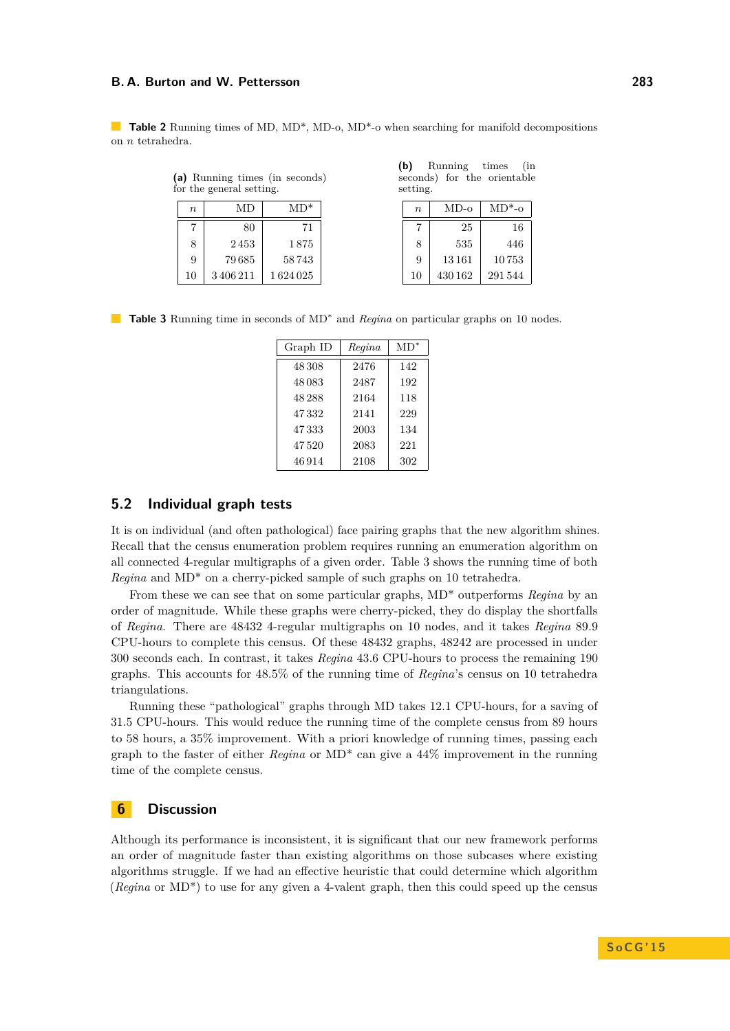<span id="page-13-2"></span>**Table 2** Running times of MD, MD\*, MD-o, MD\*-o when searching for manifold decompositions on *n* tetrahedra.

| $\,n$ | МD      | $MD*$   |
|-------|---------|---------|
|       | 80      | 71      |
| 8     | 2453    | 1875    |
| 9     | 79685   | 58743   |
| 10    | 3406211 | 1624025 |

**(a)** Running times (in seconds) for the general setting.

| (b) Running times (in       |  |  |
|-----------------------------|--|--|
| seconds) for the orientable |  |  |
| setting.                    |  |  |

<span id="page-13-1"></span>

| $\eta$ | MD-0    | MD*-o  |
|--------|---------|--------|
|        | 25      | 16     |
| 8      | 535     | 446    |
| 9      | 13 16 1 | 10753  |
| 10     | 430 162 | 291544 |

<span id="page-13-3"></span>**Table 3** Running time in seconds of MD<sup>∗</sup> and *Regina* on particular graphs on 10 nodes.

| Graph ID | Regina | $MD^*$ |
|----------|--------|--------|
| 48.308   | 2476   | 142    |
| 48083    | 2487   | 192    |
| 48288    | 2164   | 118    |
| 47332    | 2141   | 229    |
| 47333    | 2003   | 134    |
| 47520    | 2083   | 221    |
| 46914    | 2108   | 302    |

# <span id="page-13-0"></span>**5.2 Individual graph tests**

It is on individual (and often pathological) face pairing graphs that the new algorithm shines. Recall that the census enumeration problem requires running an enumeration algorithm on all connected 4-regular multigraphs of a given order. Table [3](#page-13-3) shows the running time of both *Regina* and MD\* on a cherry-picked sample of such graphs on 10 tetrahedra.

From these we can see that on some particular graphs, MD\* outperforms *Regina* by an order of magnitude. While these graphs were cherry-picked, they do display the shortfalls of *Regina*. There are 48432 4-regular multigraphs on 10 nodes, and it takes *Regina* 89.9 CPU-hours to complete this census. Of these 48432 graphs, 48242 are processed in under 300 seconds each. In contrast, it takes *Regina* 43.6 CPU-hours to process the remaining 190 graphs. This accounts for 48.5% of the running time of *Regina*'s census on 10 tetrahedra triangulations.

Running these "pathological" graphs through MD takes 12.1 CPU-hours, for a saving of 31.5 CPU-hours. This would reduce the running time of the complete census from 89 hours to 58 hours, a 35% improvement. With a priori knowledge of running times, passing each graph to the faster of either *Regina* or MD\* can give a 44% improvement in the running time of the complete census.

# **6 Discussion**

Although its performance is inconsistent, it is significant that our new framework performs an order of magnitude faster than existing algorithms on those subcases where existing algorithms struggle. If we had an effective heuristic that could determine which algorithm (*Regina* or MD\*) to use for any given a 4-valent graph, then this could speed up the census